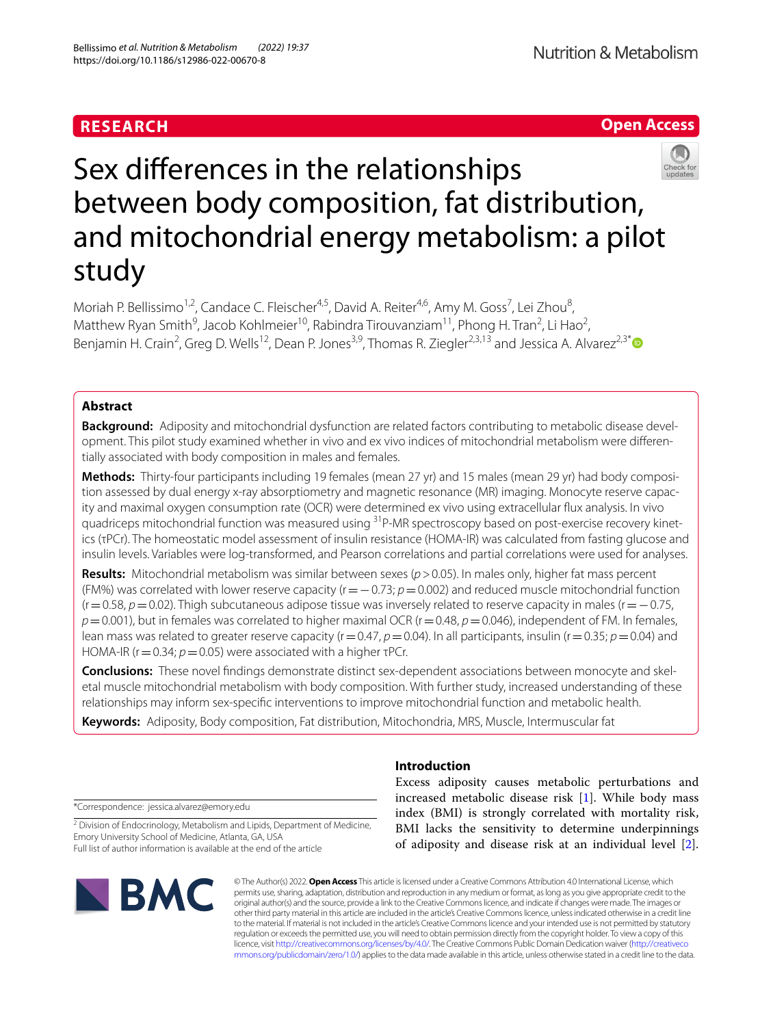## **RESEARCH**

**Open Access**

# Sex diferences in the relationships between body composition, fat distribution, and mitochondrial energy metabolism: a pilot study

Moriah P. Bellissimo<sup>1,2</sup>, Candace C. Fleischer<sup>4,5</sup>, David A. Reiter<sup>4,6</sup>, Amy M. Goss<sup>7</sup>, Lei Zhou<sup>8</sup>, Matthew Ryan Smith<sup>9</sup>, Jacob Kohlmeier<sup>10</sup>, Rabindra Tirouvanziam<sup>11</sup>, Phong H. Tran<sup>2</sup>, Li Hao<sup>2</sup>, Benjamin H. Crain<sup>2</sup>, Greg D. Wells<sup>12</sup>, Dean P. Jones<sup>3,9</sup>, Thomas R. Ziegler<sup>2,3,13</sup> and Jessica A. Alvarez<sup>2,3\*</sup>

## **Abstract**

**Background:** Adiposity and mitochondrial dysfunction are related factors contributing to metabolic disease development. This pilot study examined whether in vivo and ex vivo indices of mitochondrial metabolism were diferentially associated with body composition in males and females.

**Methods:** Thirty-four participants including 19 females (mean 27 yr) and 15 males (mean 29 yr) had body composition assessed by dual energy x-ray absorptiometry and magnetic resonance (MR) imaging. Monocyte reserve capacity and maximal oxygen consumption rate (OCR) were determined ex vivo using extracellular fux analysis. In vivo quadriceps mitochondrial function was measured using <sup>31</sup>P-MR spectroscopy based on post-exercise recovery kinetics (τPCr). The homeostatic model assessment of insulin resistance (HOMA-IR) was calculated from fasting glucose and insulin levels. Variables were log-transformed, and Pearson correlations and partial correlations were used for analyses.

**Results:** Mitochondrial metabolism was similar between sexes (*p*>0.05). In males only, higher fat mass percent (FM%) was correlated with lower reserve capacity (r=−0.73; *p*=0.002) and reduced muscle mitochondrial function (r=0.58, *p*=0.02). Thigh subcutaneous adipose tissue was inversely related to reserve capacity in males (r=−0.75, *p*=0.001), but in females was correlated to higher maximal OCR (r=0.48, *p*=0.046), independent of FM. In females, lean mass was related to greater reserve capacity (r=0.47,  $p$  =0.04). In all participants, insulin (r=0.35;  $p$  = 0.04) and HOMA-IR (r=0.34; *p*=0.05) were associated with a higher τPCr.

**Conclusions:** These novel fndings demonstrate distinct sex-dependent associations between monocyte and skeletal muscle mitochondrial metabolism with body composition. With further study, increased understanding of these relationships may inform sex-specifc interventions to improve mitochondrial function and metabolic health.

**Keywords:** Adiposity, Body composition, Fat distribution, Mitochondria, MRS, Muscle, Intermuscular fat

\*Correspondence: jessica.alvarez@emory.edu

<sup>2</sup> Division of Endocrinology, Metabolism and Lipids, Department of Medicine, Emory University School of Medicine, Atlanta, GA, USA Full list of author information is available at the end of the article



## **Introduction**

Excess adiposity causes metabolic perturbations and increased metabolic disease risk [\[1](#page-9-0)]. While body mass index (BMI) is strongly correlated with mortality risk, BMI lacks the sensitivity to determine underpinnings of adiposity and disease risk at an individual level [\[2](#page-9-1)].

© The Author(s) 2022. **Open Access** This article is licensed under a Creative Commons Attribution 4.0 International License, which permits use, sharing, adaptation, distribution and reproduction in any medium or format, as long as you give appropriate credit to the original author(s) and the source, provide a link to the Creative Commons licence, and indicate if changes were made. The images or other third party material in this article are included in the article's Creative Commons licence, unless indicated otherwise in a credit line to the material. If material is not included in the article's Creative Commons licence and your intended use is not permitted by statutory regulation or exceeds the permitted use, you will need to obtain permission directly from the copyright holder. To view a copy of this licence, visit [http://creativecommons.org/licenses/by/4.0/.](http://creativecommons.org/licenses/by/4.0/) The Creative Commons Public Domain Dedication waiver ([http://creativeco](http://creativecommons.org/publicdomain/zero/1.0/) [mmons.org/publicdomain/zero/1.0/](http://creativecommons.org/publicdomain/zero/1.0/)) applies to the data made available in this article, unless otherwise stated in a credit line to the data.

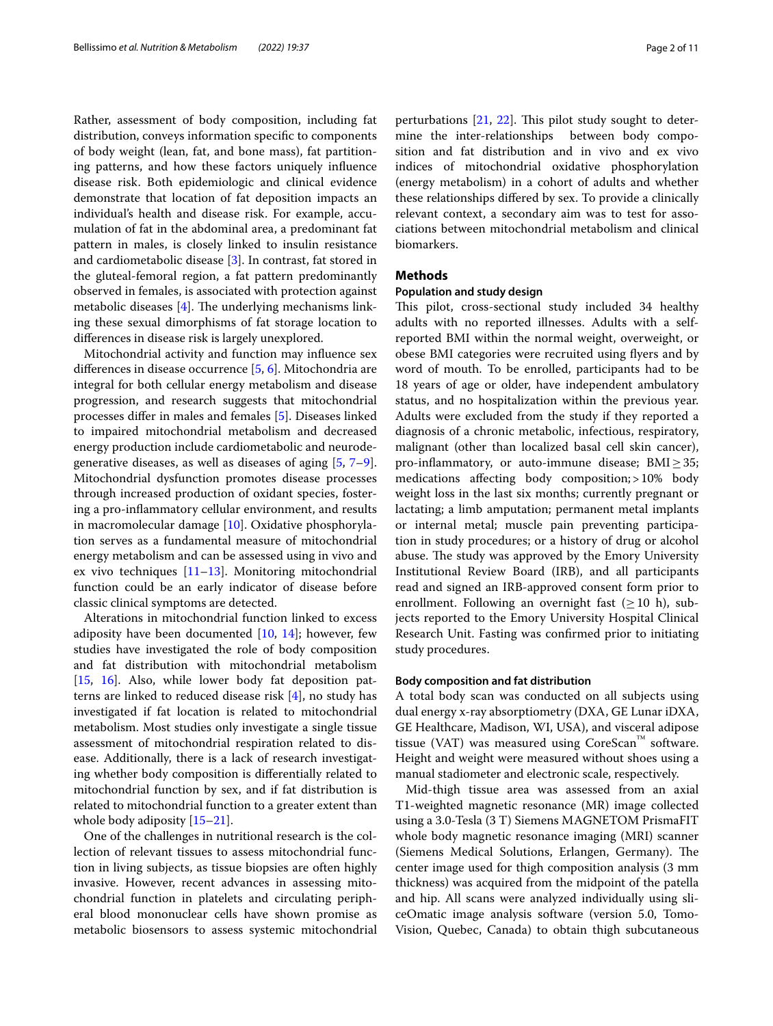Rather, assessment of body composition, including fat distribution, conveys information specifc to components of body weight (lean, fat, and bone mass), fat partitioning patterns, and how these factors uniquely infuence disease risk. Both epidemiologic and clinical evidence demonstrate that location of fat deposition impacts an individual's health and disease risk. For example, accumulation of fat in the abdominal area, a predominant fat pattern in males, is closely linked to insulin resistance and cardiometabolic disease [\[3](#page-9-2)]. In contrast, fat stored in the gluteal-femoral region, a fat pattern predominantly observed in females, is associated with protection against metabolic diseases  $[4]$  $[4]$ . The underlying mechanisms linking these sexual dimorphisms of fat storage location to diferences in disease risk is largely unexplored.

Mitochondrial activity and function may infuence sex diferences in disease occurrence [[5](#page-9-4), [6\]](#page-9-5). Mitochondria are integral for both cellular energy metabolism and disease progression, and research suggests that mitochondrial processes difer in males and females [\[5](#page-9-4)]. Diseases linked to impaired mitochondrial metabolism and decreased energy production include cardiometabolic and neurodegenerative diseases, as well as diseases of aging [\[5,](#page-9-4) [7](#page-9-6)[–9](#page-9-7)]. Mitochondrial dysfunction promotes disease processes through increased production of oxidant species, fostering a pro-infammatory cellular environment, and results in macromolecular damage [\[10](#page-9-8)]. Oxidative phosphorylation serves as a fundamental measure of mitochondrial energy metabolism and can be assessed using in vivo and ex vivo techniques  $[11-13]$  $[11-13]$ . Monitoring mitochondrial function could be an early indicator of disease before classic clinical symptoms are detected.

Alterations in mitochondrial function linked to excess adiposity have been documented  $[10, 14]$  $[10, 14]$  $[10, 14]$  $[10, 14]$  $[10, 14]$ ; however, few studies have investigated the role of body composition and fat distribution with mitochondrial metabolism [[15,](#page-9-12) [16\]](#page-9-13). Also, while lower body fat deposition patterns are linked to reduced disease risk [[4\]](#page-9-3), no study has investigated if fat location is related to mitochondrial metabolism. Most studies only investigate a single tissue assessment of mitochondrial respiration related to disease. Additionally, there is a lack of research investigating whether body composition is diferentially related to mitochondrial function by sex, and if fat distribution is related to mitochondrial function to a greater extent than whole body adiposity [[15–](#page-9-12)[21](#page-9-14)].

One of the challenges in nutritional research is the collection of relevant tissues to assess mitochondrial function in living subjects, as tissue biopsies are often highly invasive. However, recent advances in assessing mitochondrial function in platelets and circulating peripheral blood mononuclear cells have shown promise as metabolic biosensors to assess systemic mitochondrial perturbations  $[21, 22]$  $[21, 22]$  $[21, 22]$ . This pilot study sought to determine the inter-relationships between body composition and fat distribution and in vivo and ex vivo indices of mitochondrial oxidative phosphorylation (energy metabolism) in a cohort of adults and whether these relationships difered by sex. To provide a clinically relevant context, a secondary aim was to test for associations between mitochondrial metabolism and clinical biomarkers.

## **Methods**

#### **Population and study design**

This pilot, cross-sectional study included 34 healthy adults with no reported illnesses. Adults with a selfreported BMI within the normal weight, overweight, or obese BMI categories were recruited using flyers and by word of mouth. To be enrolled, participants had to be 18 years of age or older, have independent ambulatory status, and no hospitalization within the previous year. Adults were excluded from the study if they reported a diagnosis of a chronic metabolic, infectious, respiratory, malignant (other than localized basal cell skin cancer), pro-inflammatory, or auto-immune disease;  $\text{BMI} \geq 35$ ; medications affecting body composition; > 10% body weight loss in the last six months; currently pregnant or lactating; a limb amputation; permanent metal implants or internal metal; muscle pain preventing participation in study procedures; or a history of drug or alcohol abuse. The study was approved by the Emory University Institutional Review Board (IRB), and all participants read and signed an IRB-approved consent form prior to enrollment. Following an overnight fast  $(\geq 10 \text{ h})$ , subjects reported to the Emory University Hospital Clinical Research Unit. Fasting was confrmed prior to initiating study procedures.

#### **Body composition and fat distribution**

A total body scan was conducted on all subjects using dual energy x-ray absorptiometry (DXA, GE Lunar iDXA, GE Healthcare, Madison, WI, USA), and visceral adipose tissue (VAT) was measured using CoreScan™ software. Height and weight were measured without shoes using a manual stadiometer and electronic scale, respectively.

Mid-thigh tissue area was assessed from an axial T1-weighted magnetic resonance (MR) image collected using a 3.0-Tesla (3 T) Siemens MAGNETOM PrismaFIT whole body magnetic resonance imaging (MRI) scanner (Siemens Medical Solutions, Erlangen, Germany). The center image used for thigh composition analysis (3 mm thickness) was acquired from the midpoint of the patella and hip. All scans were analyzed individually using sliceOmatic image analysis software (version 5.0, Tomo-Vision, Quebec, Canada) to obtain thigh subcutaneous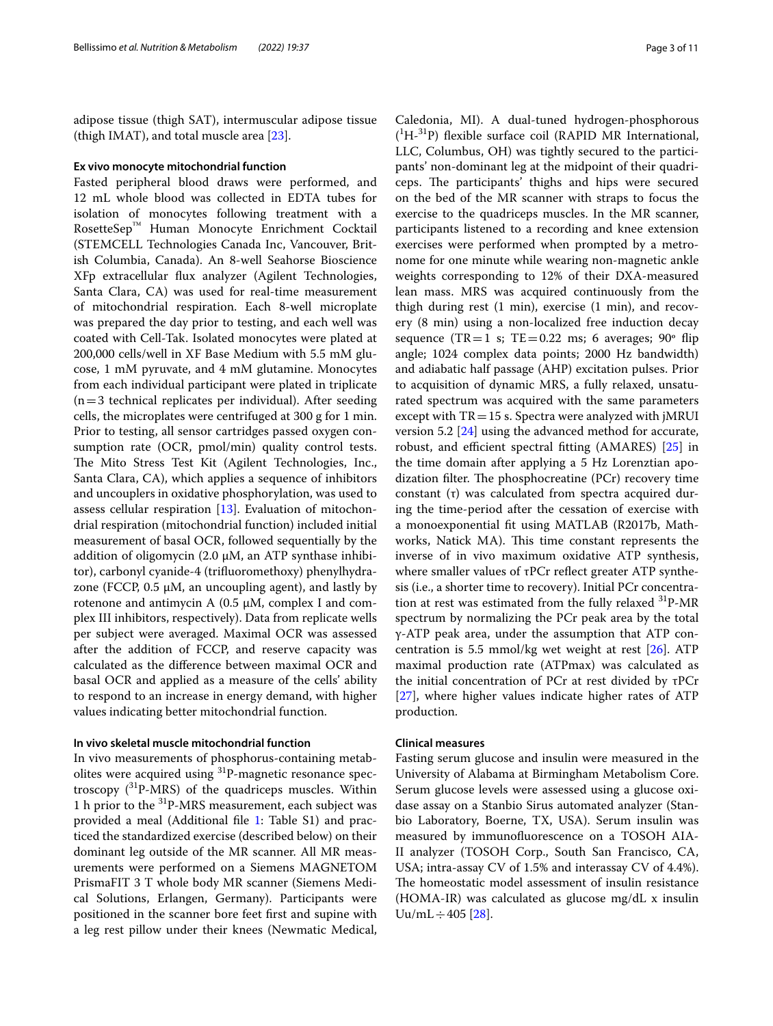adipose tissue (thigh SAT), intermuscular adipose tissue (thigh IMAT), and total muscle area  $[23]$  $[23]$ .

#### **Ex vivo monocyte mitochondrial function**

Fasted peripheral blood draws were performed, and 12 mL whole blood was collected in EDTA tubes for isolation of monocytes following treatment with a RosetteSep™ Human Monocyte Enrichment Cocktail (STEMCELL Technologies Canada Inc, Vancouver, British Columbia, Canada). An 8-well Seahorse Bioscience XFp extracellular fux analyzer (Agilent Technologies, Santa Clara, CA) was used for real-time measurement of mitochondrial respiration. Each 8-well microplate was prepared the day prior to testing, and each well was coated with Cell-Tak. Isolated monocytes were plated at 200,000 cells/well in XF Base Medium with 5.5 mM glucose, 1 mM pyruvate, and 4 mM glutamine. Monocytes from each individual participant were plated in triplicate  $(n=3$  technical replicates per individual). After seeding cells, the microplates were centrifuged at 300 g for 1 min. Prior to testing, all sensor cartridges passed oxygen consumption rate (OCR, pmol/min) quality control tests. The Mito Stress Test Kit (Agilent Technologies, Inc., Santa Clara, CA), which applies a sequence of inhibitors and uncouplers in oxidative phosphorylation, was used to assess cellular respiration [[13\]](#page-9-10). Evaluation of mitochondrial respiration (mitochondrial function) included initial measurement of basal OCR, followed sequentially by the addition of oligomycin (2.0 µM, an ATP synthase inhibitor), carbonyl cyanide-4 (trifuoromethoxy) phenylhydrazone (FCCP,  $0.5 \mu M$ , an uncoupling agent), and lastly by rotenone and antimycin A  $(0.5 \mu M,$  complex I and complex III inhibitors, respectively). Data from replicate wells per subject were averaged. Maximal OCR was assessed after the addition of FCCP, and reserve capacity was calculated as the diference between maximal OCR and basal OCR and applied as a measure of the cells' ability to respond to an increase in energy demand, with higher values indicating better mitochondrial function.

#### **In vivo skeletal muscle mitochondrial function**

In vivo measurements of phosphorus-containing metabolites were acquired using <sup>31</sup>P-magnetic resonance spectroscopy  $(^{31}P-MRS)$  of the quadriceps muscles. Within 1 h prior to the 31P-MRS measurement, each subject was provided a meal (Additional fle [1:](#page-8-0) Table S1) and practiced the standardized exercise (described below) on their dominant leg outside of the MR scanner. All MR measurements were performed on a Siemens MAGNETOM PrismaFIT 3 T whole body MR scanner (Siemens Medical Solutions, Erlangen, Germany). Participants were positioned in the scanner bore feet frst and supine with a leg rest pillow under their knees (Newmatic Medical,

Caledonia, MI). A dual-tuned hydrogen-phosphorous  $(^1H<sup>-31</sup>P)$  flexible surface coil (RAPID MR International, LLC, Columbus, OH) was tightly secured to the participants' non-dominant leg at the midpoint of their quadriceps. The participants' thighs and hips were secured on the bed of the MR scanner with straps to focus the exercise to the quadriceps muscles. In the MR scanner, participants listened to a recording and knee extension exercises were performed when prompted by a metronome for one minute while wearing non-magnetic ankle weights corresponding to 12% of their DXA-measured lean mass. MRS was acquired continuously from the thigh during rest (1 min), exercise (1 min), and recovery (8 min) using a non-localized free induction decay sequence (TR=1 s; TE=0.22 ms; 6 averages;  $90^\circ$  flip angle; 1024 complex data points; 2000 Hz bandwidth) and adiabatic half passage (AHP) excitation pulses. Prior to acquisition of dynamic MRS, a fully relaxed, unsaturated spectrum was acquired with the same parameters except with  $TR = 15$  s. Spectra were analyzed with jMRUI version 5.2 [\[24](#page-9-17)] using the advanced method for accurate, robust, and efficient spectral fitting  $(AMARES)$  [\[25](#page-9-18)] in the time domain after applying a 5 Hz Lorenztian apodization filter. The phosphocreatine  $(PCr)$  recovery time constant (τ) was calculated from spectra acquired during the time-period after the cessation of exercise with a monoexponential ft using MATLAB (R2017b, Mathworks, Natick MA). This time constant represents the inverse of in vivo maximum oxidative ATP synthesis, where smaller values of τPCr refect greater ATP synthesis (i.e., a shorter time to recovery). Initial PCr concentration at rest was estimated from the fully relaxed  $31P-MR$ spectrum by normalizing the PCr peak area by the total γ-ATP peak area, under the assumption that ATP concentration is 5.5 mmol/kg wet weight at rest [\[26\]](#page-9-19). ATP maximal production rate (ATPmax) was calculated as the initial concentration of PCr at rest divided by τPCr [[27\]](#page-9-20), where higher values indicate higher rates of ATP production.

## **Clinical measures**

Fasting serum glucose and insulin were measured in the University of Alabama at Birmingham Metabolism Core. Serum glucose levels were assessed using a glucose oxidase assay on a Stanbio Sirus automated analyzer (Stanbio Laboratory, Boerne, TX, USA). Serum insulin was measured by immunofuorescence on a TOSOH AIA-II analyzer (TOSOH Corp., South San Francisco, CA, USA; intra-assay CV of 1.5% and interassay CV of 4.4%). The homeostatic model assessment of insulin resistance (HOMA-IR) was calculated as glucose mg/dL x insulin  $Uu/mL \div 405$  [[28\]](#page-9-21).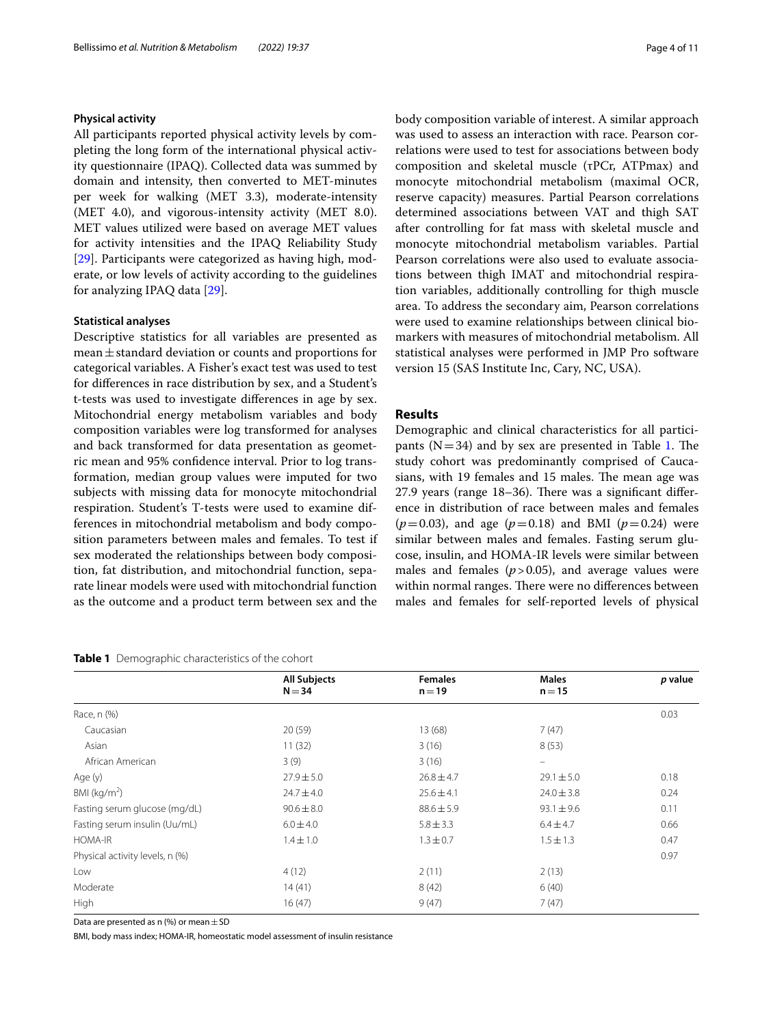#### **Physical activity**

All participants reported physical activity levels by completing the long form of the international physical activity questionnaire (IPAQ). Collected data was summed by domain and intensity, then converted to MET-minutes per week for walking (MET 3.3), moderate-intensity (MET 4.0), and vigorous-intensity activity (MET 8.0). MET values utilized were based on average MET values for activity intensities and the IPAQ Reliability Study [[29\]](#page-9-22). Participants were categorized as having high, moderate, or low levels of activity according to the guidelines for analyzing IPAQ data [\[29\]](#page-9-22).

#### **Statistical analyses**

Descriptive statistics for all variables are presented as mean±standard deviation or counts and proportions for categorical variables. A Fisher's exact test was used to test for diferences in race distribution by sex, and a Student's t-tests was used to investigate diferences in age by sex. Mitochondrial energy metabolism variables and body composition variables were log transformed for analyses and back transformed for data presentation as geometric mean and 95% confdence interval. Prior to log transformation, median group values were imputed for two subjects with missing data for monocyte mitochondrial respiration. Student's T-tests were used to examine differences in mitochondrial metabolism and body composition parameters between males and females. To test if sex moderated the relationships between body composition, fat distribution, and mitochondrial function, separate linear models were used with mitochondrial function as the outcome and a product term between sex and the

#### <span id="page-3-0"></span>**Table 1** Demographic characteristics of the cohort

body composition variable of interest. A similar approach was used to assess an interaction with race. Pearson correlations were used to test for associations between body composition and skeletal muscle (τPCr, ATPmax) and monocyte mitochondrial metabolism (maximal OCR, reserve capacity) measures. Partial Pearson correlations determined associations between VAT and thigh SAT after controlling for fat mass with skeletal muscle and monocyte mitochondrial metabolism variables. Partial Pearson correlations were also used to evaluate associations between thigh IMAT and mitochondrial respiration variables, additionally controlling for thigh muscle area. To address the secondary aim, Pearson correlations were used to examine relationships between clinical biomarkers with measures of mitochondrial metabolism. All statistical analyses were performed in JMP Pro software version 15 (SAS Institute Inc, Cary, NC, USA).

### **Results**

Demographic and clinical characteristics for all participants ( $N=34$ ) and by sex are presented in Table [1.](#page-3-0) The study cohort was predominantly comprised of Caucasians, with 19 females and 15 males. The mean age was  $27.9$  years (range  $18-36$ ). There was a significant difference in distribution of race between males and females  $(p=0.03)$ , and age  $(p=0.18)$  and BMI  $(p=0.24)$  were similar between males and females. Fasting serum glucose, insulin, and HOMA-IR levels were similar between males and females  $(p>0.05)$ , and average values were within normal ranges. There were no differences between males and females for self-reported levels of physical

|                                 | <b>All Subjects</b> | <b>Females</b> | <b>Males</b>                   | p value |
|---------------------------------|---------------------|----------------|--------------------------------|---------|
|                                 | $N = 34$            | $n = 19$       | $n = 15$                       |         |
| Race, n (%)                     |                     |                |                                | 0.03    |
| Caucasian                       | 20(59)              | 13(68)         | 7(47)                          |         |
| Asian                           | 11(32)              | 3(16)          | 8(53)                          |         |
| African American                | 3(9)                | 3(16)          | $\qquad \qquad \longleftarrow$ |         |
| Age (y)                         | $27.9 \pm 5.0$      | $26.8 \pm 4.7$ | $29.1 \pm 5.0$                 | 0.18    |
| $BMl$ (kg/m <sup>2</sup> )      | $24.7 \pm 4.0$      | $25.6 \pm 4.1$ | $24.0 \pm 3.8$                 | 0.24    |
| Fasting serum glucose (mg/dL)   | $90.6 \pm 8.0$      | $88.6 \pm 5.9$ | $93.1 \pm 9.6$                 | 0.11    |
| Fasting serum insulin (Uu/mL)   | $6.0 \pm 4.0$       | $5.8 \pm 3.3$  | $6.4 \pm 4.7$                  | 0.66    |
| HOMA-IR                         | $1.4 \pm 1.0$       | $1.3 \pm 0.7$  | $1.5 \pm 1.3$                  | 0.47    |
| Physical activity levels, n (%) |                     |                |                                | 0.97    |
| Low                             | 4(12)               | 2(11)          | 2(13)                          |         |
| Moderate                        | 14(41)              | 8(42)          | 6(40)                          |         |
| High                            | 16(47)              | 9(47)          | 7(47)                          |         |

Data are presented as n (%) or mean  $\pm$  SD

BMI, body mass index; HOMA-IR, homeostatic model assessment of insulin resistance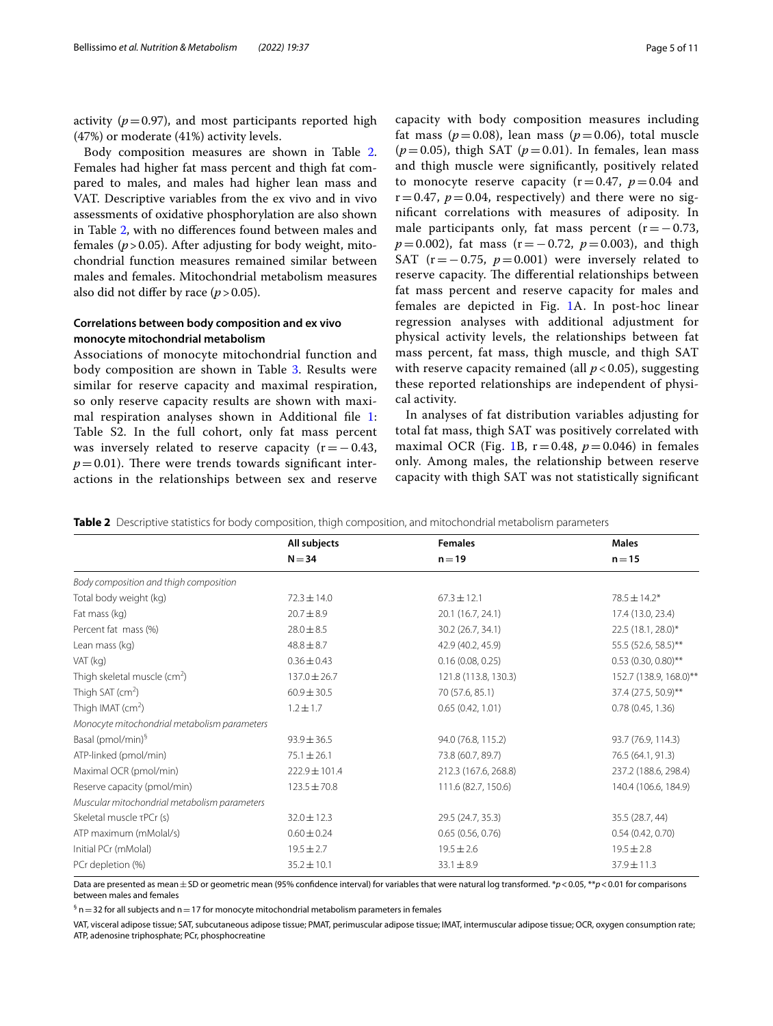activity  $(p=0.97)$ , and most participants reported high (47%) or moderate (41%) activity levels.

Body composition measures are shown in Table [2](#page-4-0). Females had higher fat mass percent and thigh fat compared to males, and males had higher lean mass and VAT. Descriptive variables from the ex vivo and in vivo assessments of oxidative phosphorylation are also shown in Table [2,](#page-4-0) with no diferences found between males and females ( $p > 0.05$ ). After adjusting for body weight, mitochondrial function measures remained similar between males and females. Mitochondrial metabolism measures also did not differ by race  $(p > 0.05)$ .

## **Correlations between body composition and ex vivo monocyte mitochondrial metabolism**

Associations of monocyte mitochondrial function and body composition are shown in Table [3](#page-5-0). Results were similar for reserve capacity and maximal respiration, so only reserve capacity results are shown with maxi-mal respiration analyses shown in Additional file [1](#page-8-0): Table S2. In the full cohort, only fat mass percent was inversely related to reserve capacity  $(r=-0.43,$  $p=0.01$ ). There were trends towards significant interactions in the relationships between sex and reserve

capacity with body composition measures including fat mass ( $p=0.08$ ), lean mass ( $p=0.06$ ), total muscle  $(p=0.05)$ , thigh SAT  $(p=0.01)$ . In females, lean mass and thigh muscle were signifcantly, positively related to monocyte reserve capacity  $(r=0.47, p=0.04$  and  $r=0.47$ ,  $p=0.04$ , respectively) and there were no signifcant correlations with measures of adiposity. In male participants only, fat mass percent  $(r=-0.73)$ , *p*=0.002), fat mass (r = −0.72, *p* = 0.003), and thigh SAT ( $r=-0.75$ ,  $p=0.001$ ) were inversely related to reserve capacity. The differential relationships between fat mass percent and reserve capacity for males and females are depicted in Fig. [1](#page-5-1)A. In post-hoc linear regression analyses with additional adjustment for physical activity levels, the relationships between fat mass percent, fat mass, thigh muscle, and thigh SAT with reserve capacity remained (all  $p < 0.05$ ), suggesting these reported relationships are independent of physical activity.

In analyses of fat distribution variables adjusting for total fat mass, thigh SAT was positively correlated with maximal OCR (Fig. [1](#page-5-1)B,  $r=0.48$ ,  $p=0.046$ ) in females only. Among males, the relationship between reserve capacity with thigh SAT was not statistically signifcant

<span id="page-4-0"></span>**Table 2** Descriptive statistics for body composition, thigh composition, and mitochondrial metabolism parameters

|                                              | All subjects      | <b>Females</b>       | <b>Males</b>           |  |
|----------------------------------------------|-------------------|----------------------|------------------------|--|
|                                              | $N = 34$          | $n = 19$             | $n = 15$               |  |
| Body composition and thigh composition       |                   |                      |                        |  |
| Total body weight (kg)                       | $72.3 \pm 14.0$   | $67.3 \pm 12.1$      | $78.5 \pm 14.2*$       |  |
| Fat mass (kg)                                | $20.7 + 8.9$      | 20.1 (16.7, 24.1)    | 17.4 (13.0, 23.4)      |  |
| Percent fat mass (%)                         | $28.0 \pm 8.5$    | 30.2 (26.7, 34.1)    | 22.5 (18.1, 28.0)*     |  |
| Lean mass (kg)                               | $48.8 \pm 8.7$    | 42.9 (40.2, 45.9)    | 55.5 (52.6, 58.5)**    |  |
| VAT (kg)                                     | $0.36 \pm 0.43$   | 0.16(0.08, 0.25)     | $0.53$ (0.30, 0.80)**  |  |
| Thigh skeletal muscle ( $cm2$ )              | $137.0 \pm 26.7$  | 121.8 (113.8, 130.3) | 152.7 (138.9, 168.0)** |  |
| Thigh SAT $(cm^2)$                           | $60.9 \pm 30.5$   | 70 (57.6, 85.1)      | 37.4 (27.5, 50.9)**    |  |
| Thigh IMAT $(cm^2)$                          | $1.2 \pm 1.7$     | 0.65(0.42, 1.01)     | 0.78(0.45, 1.36)       |  |
| Monocyte mitochondrial metabolism parameters |                   |                      |                        |  |
| Basal (pmol/min) <sup>§</sup>                | $93.9 \pm 36.5$   | 94.0 (76.8, 115.2)   | 93.7 (76.9, 114.3)     |  |
| ATP-linked (pmol/min)                        | $75.1 \pm 26.1$   | 73.8 (60.7, 89.7)    | 76.5 (64.1, 91.3)      |  |
| Maximal OCR (pmol/min)                       | $222.9 \pm 101.4$ | 212.3 (167.6, 268.8) | 237.2 (188.6, 298.4)   |  |
| Reserve capacity (pmol/min)                  | $123.5 \pm 70.8$  | 111.6 (82.7, 150.6)  | 140.4 (106.6, 184.9)   |  |
| Muscular mitochondrial metabolism parameters |                   |                      |                        |  |
| Skeletal muscle τPCr (s)                     | $32.0 \pm 12.3$   | 29.5 (24.7, 35.3)    | 35.5 (28.7, 44)        |  |
| ATP maximum (mMolal/s)                       | $0.60 \pm 0.24$   | 0.65(0.56, 0.76)     | 0.54(0.42, 0.70)       |  |
| Initial PCr (mMolal)                         | $19.5 \pm 2.7$    | $19.5 \pm 2.6$       | $19.5 \pm 2.8$         |  |
| PCr depletion (%)                            | $35.2 \pm 10.1$   | $33.1 \pm 8.9$       | $37.9 \pm 11.3$        |  |

Data are presented as mean  $\pm$  SD or geometric mean (95% confidence interval) for variables that were natural log transformed. \**p* < 0.05, \*\**p* < 0.01 for comparisons between males and females

 $^{\mathfrak{h}}$  n  $=$  32 for all subjects and n  $=$  17 for monocyte mitochondrial metabolism parameters in females

VAT, visceral adipose tissue; SAT, subcutaneous adipose tissue; PMAT, perimuscular adipose tissue; IMAT, intermuscular adipose tissue; OCR, oxygen consumption rate; ATP, adenosine triphosphate; PCr, phosphocreatine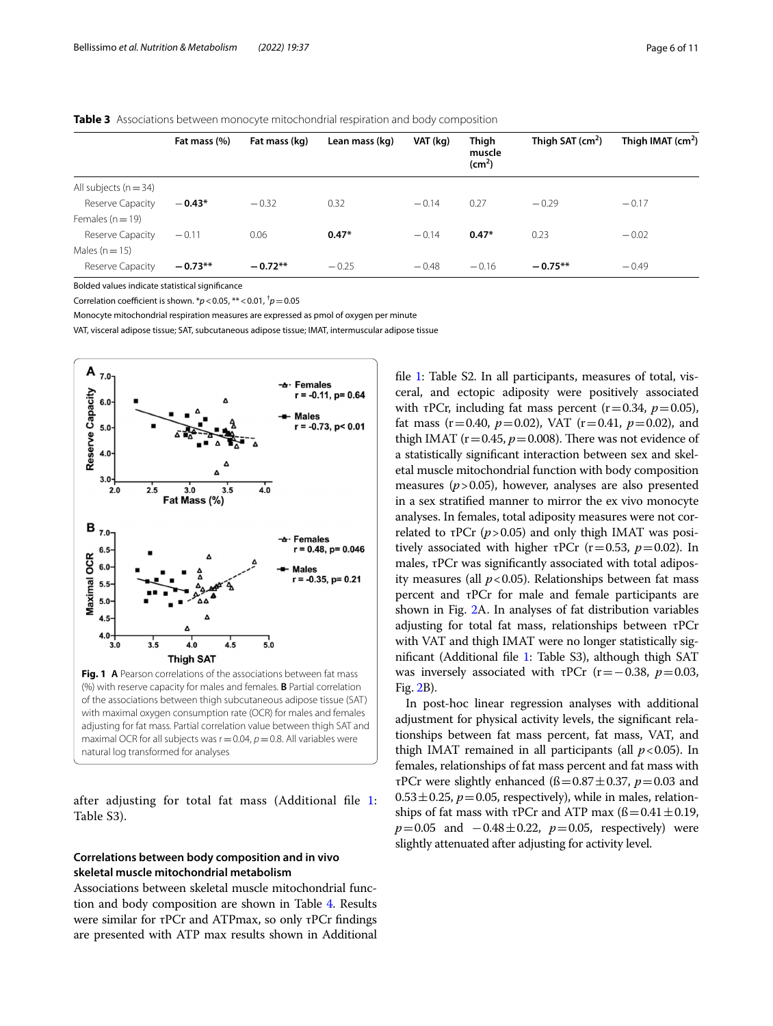#### <span id="page-5-0"></span>**Table 3** Associations between monocyte mitochondrial respiration and body composition

|                         | Fat mass (%) | Fat mass (kg) | Lean mass (kg) | VAT (kg) | Thigh<br>muscle<br>$\text{(cm}^2)$ | Thigh SAT $(cm2)$ | Thigh IMAT $(cm2)$ |
|-------------------------|--------------|---------------|----------------|----------|------------------------------------|-------------------|--------------------|
| All subjects $(n = 34)$ |              |               |                |          |                                    |                   |                    |
| Reserve Capacity        | $-0.43*$     | $-0.32$       | 0.32           | $-0.14$  | 0.27                               | $-0.29$           | $-0.17$            |
| Females $(n=19)$        |              |               |                |          |                                    |                   |                    |
| Reserve Capacity        | $-0.11$      | 0.06          | $0.47*$        | $-0.14$  | $0.47*$                            | 0.23              | $-0.02$            |
| Males ( $n = 15$ )      |              |               |                |          |                                    |                   |                    |
| Reserve Capacity        | $-0.73**$    | $-0.72**$     | $-0.25$        | $-0.48$  | $-0.16$                            | $-0.75**$         | $-0.49$            |

Bolded values indicate statistical signifcance

Correlation coefficient is shown.  $\pi p < 0.05$ ,  $\pi \times 0.01$ ,  $\pi p = 0.05$ 

Monocyte mitochondrial respiration measures are expressed as pmol of oxygen per minute

VAT, visceral adipose tissue; SAT, subcutaneous adipose tissue; IMAT, intermuscular adipose tissue



<span id="page-5-1"></span>after adjusting for total fat mass (Additional fle [1](#page-8-0): Table S3).

## **Correlations between body composition and in vivo skeletal muscle mitochondrial metabolism**

Associations between skeletal muscle mitochondrial function and body composition are shown in Table [4](#page-6-0). Results were similar for τPCr and ATPmax, so only τPCr fndings are presented with ATP max results shown in Additional file [1:](#page-8-0) Table S2. In all participants, measures of total, visceral, and ectopic adiposity were positively associated with  $\tau$ PCr, including fat mass percent ( $r=0.34$ ,  $p=0.05$ ), fat mass  $(r=0.40, p=0.02)$ , VAT  $(r=0.41, p=0.02)$ , and thigh IMAT ( $r=0.45$ ,  $p=0.008$ ). There was not evidence of a statistically signifcant interaction between sex and skeletal muscle mitochondrial function with body composition measures (*p*>0.05), however, analyses are also presented in a sex stratifed manner to mirror the ex vivo monocyte analyses. In females, total adiposity measures were not correlated to τPCr  $(p>0.05)$  and only thigh IMAT was positively associated with higher τPCr ( $r=0.53$ ,  $p=0.02$ ). In males, τPCr was signifcantly associated with total adiposity measures (all  $p < 0.05$ ). Relationships between fat mass percent and τPCr for male and female participants are shown in Fig. [2A](#page-6-1). In analyses of fat distribution variables adjusting for total fat mass, relationships between τPCr with VAT and thigh IMAT were no longer statistically sig-nificant (Additional file [1](#page-8-0): Table S3), although thigh SAT was inversely associated with  $\tau$ PCr (r=−0.38, *p*=0.03, Fig. [2B](#page-6-1)).

In post-hoc linear regression analyses with additional adjustment for physical activity levels, the signifcant relationships between fat mass percent, fat mass, VAT, and thigh IMAT remained in all participants (all  $p < 0.05$ ). In females, relationships of fat mass percent and fat mass with τPCr were slightly enhanced (ß=0.87±0.37, *p*=0.03 and  $0.53 \pm 0.25$ ,  $p = 0.05$ , respectively), while in males, relationships of fat mass with τPCr and ATP max  $(β=0.41±0.19,$  $p=0.05$  and  $-0.48\pm0.22$ ,  $p=0.05$ , respectively) were slightly attenuated after adjusting for activity level.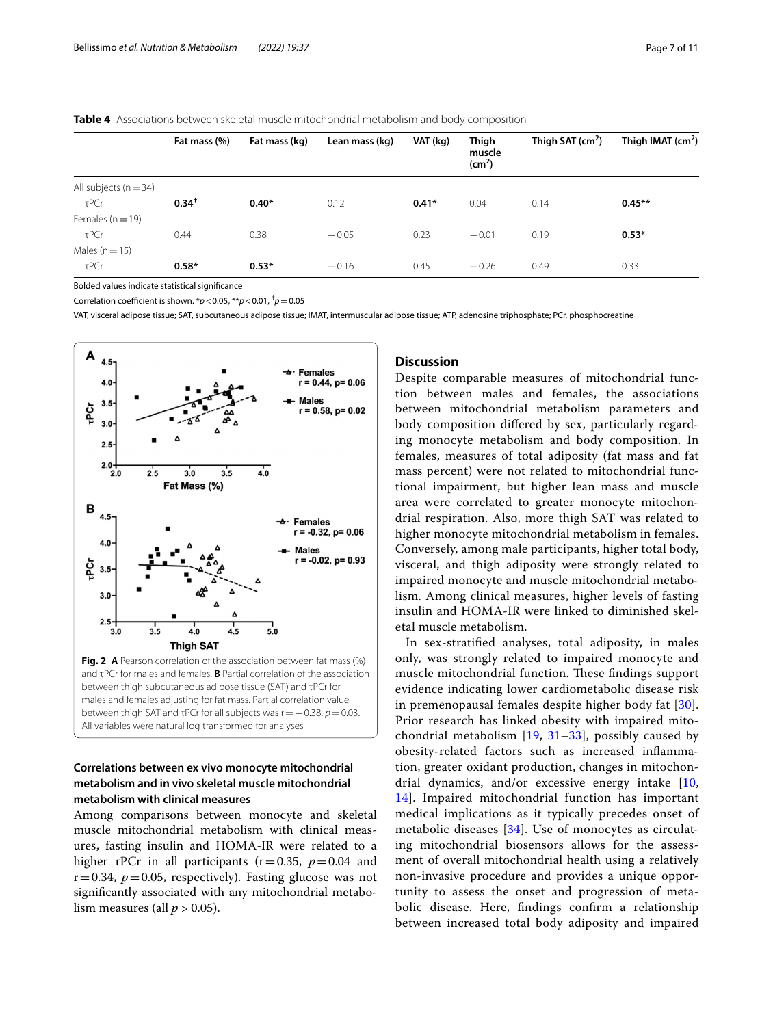#### <span id="page-6-0"></span>**Table 4** Associations between skeletal muscle mitochondrial metabolism and body composition

|                           | Fat mass (%)     | Fat mass (kg) | Lean mass (kg) | VAT (kg) | Thigh<br>muscle<br>(cm <sup>2</sup> ) | Thigh SAT $(cm2)$ | Thigh IMAT $(cm2)$ |
|---------------------------|------------------|---------------|----------------|----------|---------------------------------------|-------------------|--------------------|
| All subjects ( $n = 34$ ) |                  |               |                |          |                                       |                   |                    |
| τPCr                      | $0.34^{\dagger}$ | $0.40*$       | 0.12           | $0.41*$  | 0.04                                  | 0.14              | $0.45***$          |
| Females ( $n = 19$ )      |                  |               |                |          |                                       |                   |                    |
| τPCr                      | 0.44             | 0.38          | $-0.05$        | 0.23     | $-0.01$                               | 0.19              | $0.53*$            |
| Males ( $n = 15$ )        |                  |               |                |          |                                       |                   |                    |
| τPCr                      | $0.58*$          | $0.53*$       | $-0.16$        | 0.45     | $-0.26$                               | 0.49              | 0.33               |

Bolded values indicate statistical signifcance

Correlation coefficient is shown.  $\frac{k}{p}$  < 0.05,  $\frac{k}{p}$  < 0.01,  $\frac{t}{p}$  = 0.05

VAT, visceral adipose tissue; SAT, subcutaneous adipose tissue; IMAT, intermuscular adipose tissue; ATP, adenosine triphosphate; PCr, phosphocreatine



## <span id="page-6-1"></span>**Correlations between ex vivo monocyte mitochondrial metabolism and in vivo skeletal muscle mitochondrial metabolism with clinical measures**

Among comparisons between monocyte and skeletal muscle mitochondrial metabolism with clinical measures, fasting insulin and HOMA-IR were related to a higher  $\tau$ PCr in all participants ( $r=0.35$ ,  $p=0.04$  and  $r=0.34$ ,  $p=0.05$ , respectively). Fasting glucose was not signifcantly associated with any mitochondrial metabolism measures (all  $p > 0.05$ ).

#### **Discussion**

Despite comparable measures of mitochondrial function between males and females, the associations between mitochondrial metabolism parameters and body composition difered by sex, particularly regarding monocyte metabolism and body composition. In females, measures of total adiposity (fat mass and fat mass percent) were not related to mitochondrial functional impairment, but higher lean mass and muscle area were correlated to greater monocyte mitochondrial respiration. Also, more thigh SAT was related to higher monocyte mitochondrial metabolism in females. Conversely, among male participants, higher total body, visceral, and thigh adiposity were strongly related to impaired monocyte and muscle mitochondrial metabolism. Among clinical measures, higher levels of fasting insulin and HOMA-IR were linked to diminished skeletal muscle metabolism.

In sex-stratifed analyses, total adiposity, in males only, was strongly related to impaired monocyte and muscle mitochondrial function. These findings support evidence indicating lower cardiometabolic disease risk in premenopausal females despite higher body fat [[30\]](#page-9-23). Prior research has linked obesity with impaired mitochondrial metabolism [[19,](#page-9-24) [31](#page-9-25)[–33](#page-9-26)], possibly caused by obesity-related factors such as increased infammation, greater oxidant production, changes in mitochondrial dynamics, and/or excessive energy intake [\[10](#page-9-8), [14\]](#page-9-11). Impaired mitochondrial function has important medical implications as it typically precedes onset of metabolic diseases [[34](#page-10-0)]. Use of monocytes as circulating mitochondrial biosensors allows for the assessment of overall mitochondrial health using a relatively non-invasive procedure and provides a unique opportunity to assess the onset and progression of metabolic disease. Here, fndings confrm a relationship between increased total body adiposity and impaired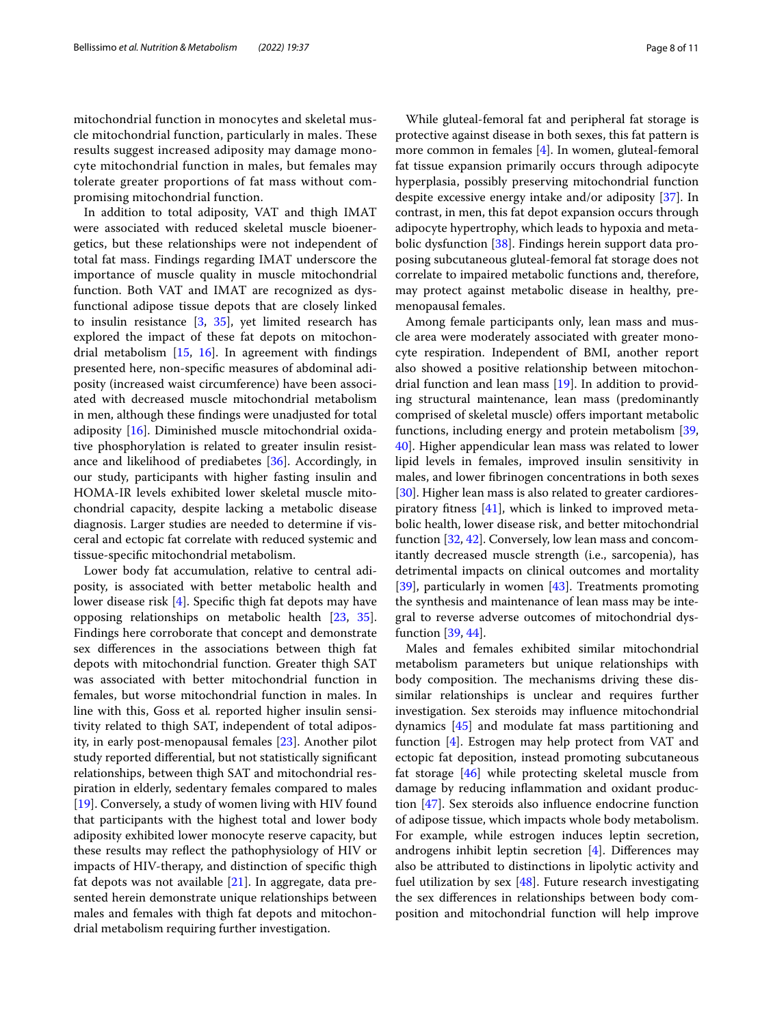mitochondrial function in monocytes and skeletal muscle mitochondrial function, particularly in males. These results suggest increased adiposity may damage monocyte mitochondrial function in males, but females may tolerate greater proportions of fat mass without compromising mitochondrial function.

In addition to total adiposity, VAT and thigh IMAT were associated with reduced skeletal muscle bioenergetics, but these relationships were not independent of total fat mass. Findings regarding IMAT underscore the importance of muscle quality in muscle mitochondrial function. Both VAT and IMAT are recognized as dysfunctional adipose tissue depots that are closely linked to insulin resistance [\[3](#page-9-2), [35\]](#page-10-1), yet limited research has explored the impact of these fat depots on mitochondrial metabolism  $[15, 16]$  $[15, 16]$  $[15, 16]$ . In agreement with findings presented here, non-specifc measures of abdominal adiposity (increased waist circumference) have been associated with decreased muscle mitochondrial metabolism in men, although these fndings were unadjusted for total adiposity [\[16](#page-9-13)]. Diminished muscle mitochondrial oxidative phosphorylation is related to greater insulin resistance and likelihood of prediabetes [\[36](#page-10-2)]. Accordingly, in our study, participants with higher fasting insulin and HOMA-IR levels exhibited lower skeletal muscle mitochondrial capacity, despite lacking a metabolic disease diagnosis. Larger studies are needed to determine if visceral and ectopic fat correlate with reduced systemic and tissue-specifc mitochondrial metabolism.

Lower body fat accumulation, relative to central adiposity, is associated with better metabolic health and lower disease risk [[4\]](#page-9-3). Specifc thigh fat depots may have opposing relationships on metabolic health [\[23,](#page-9-16) [35](#page-10-1)]. Findings here corroborate that concept and demonstrate sex diferences in the associations between thigh fat depots with mitochondrial function. Greater thigh SAT was associated with better mitochondrial function in females, but worse mitochondrial function in males. In line with this, Goss et al*.* reported higher insulin sensitivity related to thigh SAT, independent of total adiposity, in early post-menopausal females [[23\]](#page-9-16). Another pilot study reported diferential, but not statistically signifcant relationships, between thigh SAT and mitochondrial respiration in elderly, sedentary females compared to males [[19\]](#page-9-24). Conversely, a study of women living with HIV found that participants with the highest total and lower body adiposity exhibited lower monocyte reserve capacity, but these results may refect the pathophysiology of HIV or impacts of HIV-therapy, and distinction of specifc thigh fat depots was not available  $[21]$  $[21]$ . In aggregate, data presented herein demonstrate unique relationships between males and females with thigh fat depots and mitochondrial metabolism requiring further investigation.

While gluteal-femoral fat and peripheral fat storage is protective against disease in both sexes, this fat pattern is more common in females [\[4](#page-9-3)]. In women, gluteal-femoral fat tissue expansion primarily occurs through adipocyte hyperplasia, possibly preserving mitochondrial function despite excessive energy intake and/or adiposity [\[37](#page-10-3)]. In contrast, in men, this fat depot expansion occurs through adipocyte hypertrophy, which leads to hypoxia and metabolic dysfunction [[38\]](#page-10-4). Findings herein support data proposing subcutaneous gluteal-femoral fat storage does not correlate to impaired metabolic functions and, therefore, may protect against metabolic disease in healthy, premenopausal females.

Among female participants only, lean mass and muscle area were moderately associated with greater monocyte respiration. Independent of BMI, another report also showed a positive relationship between mitochondrial function and lean mass [[19](#page-9-24)]. In addition to providing structural maintenance, lean mass (predominantly comprised of skeletal muscle) offers important metabolic functions, including energy and protein metabolism [[39](#page-10-5), [40\]](#page-10-6). Higher appendicular lean mass was related to lower lipid levels in females, improved insulin sensitivity in males, and lower fbrinogen concentrations in both sexes [[30\]](#page-9-23). Higher lean mass is also related to greater cardiorespiratory ftness [\[41\]](#page-10-7), which is linked to improved metabolic health, lower disease risk, and better mitochondrial function [[32,](#page-9-27) [42](#page-10-8)]. Conversely, low lean mass and concomitantly decreased muscle strength (i.e., sarcopenia), has detrimental impacts on clinical outcomes and mortality [[39\]](#page-10-5), particularly in women [[43\]](#page-10-9). Treatments promoting the synthesis and maintenance of lean mass may be integral to reverse adverse outcomes of mitochondrial dysfunction [\[39,](#page-10-5) [44](#page-10-10)].

Males and females exhibited similar mitochondrial metabolism parameters but unique relationships with body composition. The mechanisms driving these dissimilar relationships is unclear and requires further investigation. Sex steroids may infuence mitochondrial dynamics [\[45\]](#page-10-11) and modulate fat mass partitioning and function [[4\]](#page-9-3). Estrogen may help protect from VAT and ectopic fat deposition, instead promoting subcutaneous fat storage [[46\]](#page-10-12) while protecting skeletal muscle from damage by reducing infammation and oxidant production [[47](#page-10-13)]. Sex steroids also infuence endocrine function of adipose tissue, which impacts whole body metabolism. For example, while estrogen induces leptin secretion, androgens inhibit leptin secretion [\[4](#page-9-3)]. Diferences may also be attributed to distinctions in lipolytic activity and fuel utilization by sex  $[48]$  $[48]$ . Future research investigating the sex diferences in relationships between body composition and mitochondrial function will help improve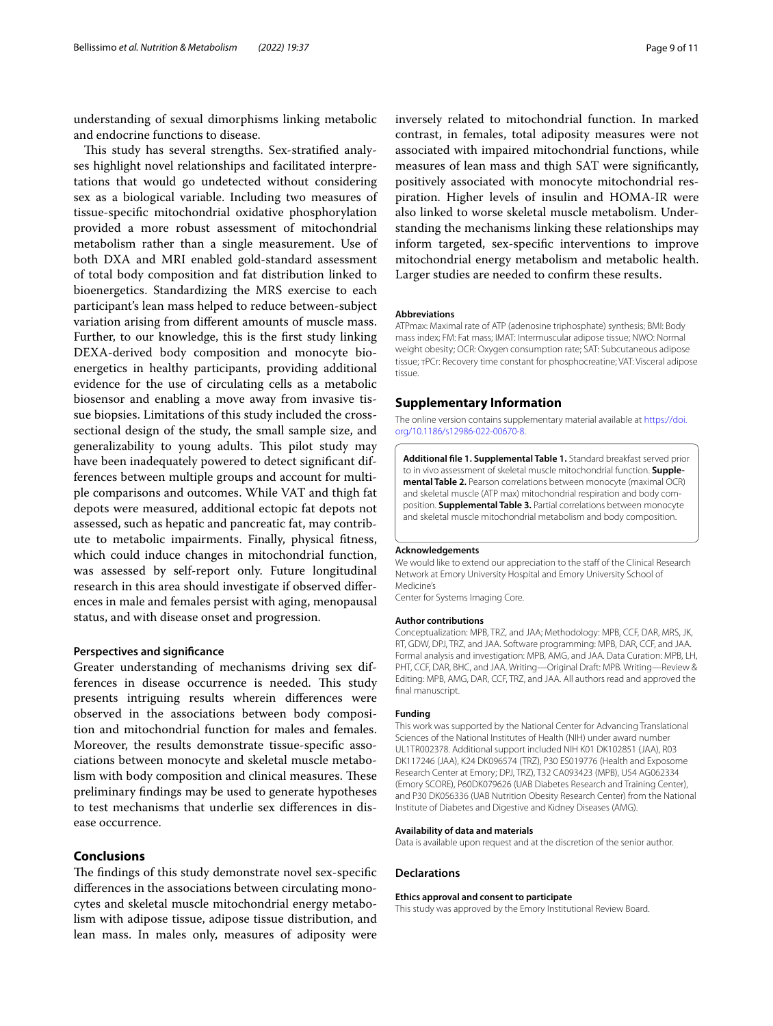understanding of sexual dimorphisms linking metabolic and endocrine functions to disease.

This study has several strengths. Sex-stratified analyses highlight novel relationships and facilitated interpretations that would go undetected without considering sex as a biological variable. Including two measures of tissue-specifc mitochondrial oxidative phosphorylation provided a more robust assessment of mitochondrial metabolism rather than a single measurement. Use of both DXA and MRI enabled gold-standard assessment of total body composition and fat distribution linked to bioenergetics. Standardizing the MRS exercise to each participant's lean mass helped to reduce between-subject variation arising from diferent amounts of muscle mass. Further, to our knowledge, this is the frst study linking DEXA-derived body composition and monocyte bioenergetics in healthy participants, providing additional evidence for the use of circulating cells as a metabolic biosensor and enabling a move away from invasive tissue biopsies. Limitations of this study included the crosssectional design of the study, the small sample size, and generalizability to young adults. This pilot study may have been inadequately powered to detect signifcant differences between multiple groups and account for multiple comparisons and outcomes. While VAT and thigh fat depots were measured, additional ectopic fat depots not assessed, such as hepatic and pancreatic fat, may contribute to metabolic impairments. Finally, physical ftness, which could induce changes in mitochondrial function, was assessed by self-report only. Future longitudinal research in this area should investigate if observed diferences in male and females persist with aging, menopausal status, and with disease onset and progression.

#### **Perspectives and signifcance**

Greater understanding of mechanisms driving sex differences in disease occurrence is needed. This study presents intriguing results wherein diferences were observed in the associations between body composition and mitochondrial function for males and females. Moreover, the results demonstrate tissue-specifc associations between monocyte and skeletal muscle metabolism with body composition and clinical measures. These preliminary fndings may be used to generate hypotheses to test mechanisms that underlie sex diferences in disease occurrence.

## **Conclusions**

The findings of this study demonstrate novel sex-specific diferences in the associations between circulating monocytes and skeletal muscle mitochondrial energy metabolism with adipose tissue, adipose tissue distribution, and lean mass. In males only, measures of adiposity were

inversely related to mitochondrial function. In marked contrast, in females, total adiposity measures were not associated with impaired mitochondrial functions, while measures of lean mass and thigh SAT were signifcantly, positively associated with monocyte mitochondrial respiration. Higher levels of insulin and HOMA-IR were also linked to worse skeletal muscle metabolism. Understanding the mechanisms linking these relationships may inform targeted, sex-specifc interventions to improve mitochondrial energy metabolism and metabolic health. Larger studies are needed to confrm these results.

#### **Abbreviations**

ATPmax: Maximal rate of ATP (adenosine triphosphate) synthesis; BMI: Body mass index; FM: Fat mass; IMAT: Intermuscular adipose tissue; NWO: Normal weight obesity; OCR: Oxygen consumption rate; SAT: Subcutaneous adipose tissue; τPCr: Recovery time constant for phosphocreatine; VAT: Visceral adipose tissue.

#### **Supplementary Information**

The online version contains supplementary material available at [https://doi.](https://doi.org/10.1186/s12986-022-00670-8) [org/10.1186/s12986-022-00670-8](https://doi.org/10.1186/s12986-022-00670-8).

<span id="page-8-0"></span>**Additional fle 1. Supplemental Table 1.** Standard breakfast served prior to in vivo assessment of skeletal muscle mitochondrial function. **Supplemental Table 2.** Pearson correlations between monocyte (maximal OCR) and skeletal muscle (ATP max) mitochondrial respiration and body composition. **Supplemental Table 3.** Partial correlations between monocyte and skeletal muscle mitochondrial metabolism and body composition.

#### **Acknowledgements**

We would like to extend our appreciation to the staff of the Clinical Research Network at Emory University Hospital and Emory University School of Medicine's

Center for Systems Imaging Core.

#### **Author contributions**

Conceptualization: MPB, TRZ, and JAA; Methodology: MPB, CCF, DAR, MRS, JK, RT, GDW, DPJ, TRZ, and JAA. Software programming: MPB, DAR, CCF, and JAA. Formal analysis and investigation: MPB, AMG, and JAA. Data Curation: MPB, LH, PHT, CCF, DAR, BHC, and JAA. Writing—Original Draft: MPB. Writing—Review & Editing: MPB, AMG, DAR, CCF, TRZ, and JAA. All authors read and approved the final manuscript.

#### **Funding**

This work was supported by the National Center for Advancing Translational Sciences of the National Institutes of Health (NIH) under award number UL1TR002378. Additional support included NIH K01 DK102851 (JAA), R03 DK117246 (JAA), K24 DK096574 (TRZ), P30 ES019776 (Health and Exposome Research Center at Emory; DPJ, TRZ), T32 CA093423 (MPB), U54 AG062334 (Emory SCORE), P60DK079626 (UAB Diabetes Research and Training Center), and P30 DK056336 (UAB Nutrition Obesity Research Center) from the National Institute of Diabetes and Digestive and Kidney Diseases (AMG).

#### **Availability of data and materials**

Data is available upon request and at the discretion of the senior author.

#### **Declarations**

#### **Ethics approval and consent to participate**

This study was approved by the Emory Institutional Review Board.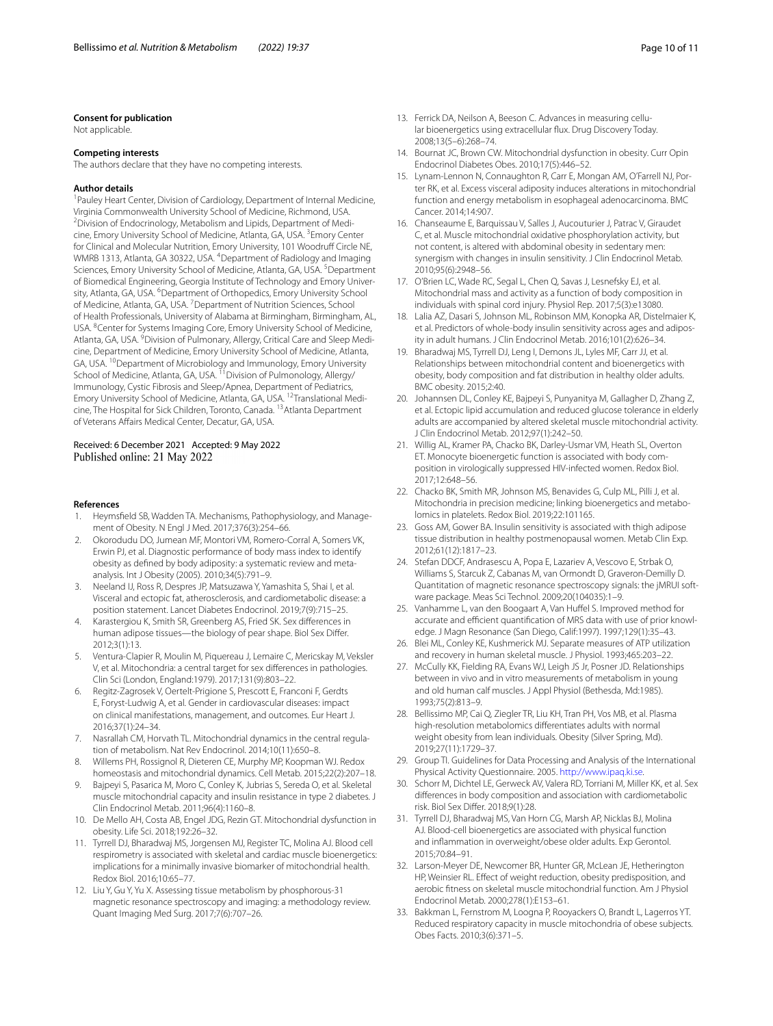#### **Consent for publication**

Not applicable.

#### **Competing interests**

The authors declare that they have no competing interests.

#### **Author details**

<sup>1</sup> Pauley Heart Center, Division of Cardiology, Department of Internal Medicine, Virginia Commonwealth University School of Medicine, Richmond, USA. 2 <sup>2</sup> Division of Endocrinology, Metabolism and Lipids, Department of Medicine, Emory University School of Medicine, Atlanta, GA, USA. <sup>3</sup>Emory Center for Clinical and Molecular Nutrition, Emory University, 101 Woodruff Circle NE, WMRB 1313, Atlanta, GA 30322, USA. <sup>4</sup>Department of Radiology and Imaging Sciences, Emory University School of Medicine, Atlanta, GA, USA. <sup>5</sup>Department of Biomedical Engineering, Georgia Institute of Technology and Emory University, Atlanta, GA, USA. <sup>6</sup> Department of Orthopedics, Emory University School of Medicine, Atlanta, GA, USA. <sup>7</sup> Department of Nutrition Sciences, School of Health Professionals, University of Alabama at Birmingham, Birmingham, AL, USA. <sup>8</sup>Center for Systems Imaging Core, Emory University School of Medicine, Atlanta, GA, USA. <sup>9</sup> Division of Pulmonary, Allergy, Critical Care and Sleep Medicine, Department of Medicine, Emory University School of Medicine, Atlanta, GA, USA. <sup>10</sup>Department of Microbiology and Immunology, Emory University School of Medicine, Atlanta, GA, USA. <sup>11</sup> Division of Pulmonology, Allergy/ Immunology, Cystic Fibrosis and Sleep/Apnea, Department of Pediatrics, Emory University School of Medicine, Atlanta, GA, USA. 12Translational Medicine, The Hospital for Sick Children, Toronto, Canada. 13Atlanta Department of Veterans Afairs Medical Center, Decatur, GA, USA.

#### Received: 6 December 2021 Accepted: 9 May 2022 Published online: 21 May 2022

#### **References**

- <span id="page-9-0"></span>Heymsfield SB, Wadden TA. Mechanisms, Pathophysiology, and Management of Obesity. N Engl J Med. 2017;376(3):254–66.
- <span id="page-9-1"></span>2. Okorodudu DO, Jumean MF, Montori VM, Romero-Corral A, Somers VK, Erwin PJ, et al. Diagnostic performance of body mass index to identify obesity as defned by body adiposity: a systematic review and metaanalysis. Int J Obesity (2005). 2010;34(5):791–9.
- <span id="page-9-2"></span>3. Neeland IJ, Ross R, Despres JP, Matsuzawa Y, Yamashita S, Shai I, et al. Visceral and ectopic fat, atherosclerosis, and cardiometabolic disease: a position statement. Lancet Diabetes Endocrinol. 2019;7(9):715–25.
- <span id="page-9-3"></span>4. Karastergiou K, Smith SR, Greenberg AS, Fried SK. Sex diferences in human adipose tissues—the biology of pear shape. Biol Sex Difer. 2012;3(1):13.
- <span id="page-9-4"></span>5. Ventura-Clapier R, Moulin M, Piquereau J, Lemaire C, Mericskay M, Veksler V, et al. Mitochondria: a central target for sex diferences in pathologies. Clin Sci (London, England:1979). 2017;131(9):803–22.
- <span id="page-9-5"></span>6. Regitz-Zagrosek V, Oertelt-Prigione S, Prescott E, Franconi F, Gerdts E, Foryst-Ludwig A, et al. Gender in cardiovascular diseases: impact on clinical manifestations, management, and outcomes. Eur Heart J. 2016;37(1):24–34.
- <span id="page-9-6"></span>7. Nasrallah CM, Horvath TL. Mitochondrial dynamics in the central regulation of metabolism. Nat Rev Endocrinol. 2014;10(11):650–8.
- 8. Willems PH, Rossignol R, Dieteren CE, Murphy MP, Koopman WJ. Redox homeostasis and mitochondrial dynamics. Cell Metab. 2015;22(2):207–18.
- <span id="page-9-7"></span>9. Bajpeyi S, Pasarica M, Moro C, Conley K, Jubrias S, Sereda O, et al. Skeletal muscle mitochondrial capacity and insulin resistance in type 2 diabetes. J Clin Endocrinol Metab. 2011;96(4):1160–8.
- <span id="page-9-8"></span>10. De Mello AH, Costa AB, Engel JDG, Rezin GT. Mitochondrial dysfunction in obesity. Life Sci. 2018;192:26–32.
- <span id="page-9-9"></span>11. Tyrrell DJ, Bharadwaj MS, Jorgensen MJ, Register TC, Molina AJ. Blood cell respirometry is associated with skeletal and cardiac muscle bioenergetics: implications for a minimally invasive biomarker of mitochondrial health. Redox Biol. 2016;10:65–77.
- 12. Liu Y, Gu Y, Yu X. Assessing tissue metabolism by phosphorous-31 magnetic resonance spectroscopy and imaging: a methodology review. Quant Imaging Med Surg. 2017;7(6):707–26.
- <span id="page-9-10"></span>13. Ferrick DA, Neilson A, Beeson C. Advances in measuring cellular bioenergetics using extracellular fux. Drug Discovery Today. 2008;13(5–6):268–74.
- <span id="page-9-11"></span>14. Bournat JC, Brown CW. Mitochondrial dysfunction in obesity. Curr Opin Endocrinol Diabetes Obes. 2010;17(5):446–52.
- <span id="page-9-12"></span>15. Lynam-Lennon N, Connaughton R, Carr E, Mongan AM, O'Farrell NJ, Porter RK, et al. Excess visceral adiposity induces alterations in mitochondrial function and energy metabolism in esophageal adenocarcinoma. BMC Cancer. 2014;14:907.
- <span id="page-9-13"></span>16. Chanseaume E, Barquissau V, Salles J, Aucouturier J, Patrac V, Giraudet C, et al. Muscle mitochondrial oxidative phosphorylation activity, but not content, is altered with abdominal obesity in sedentary men: synergism with changes in insulin sensitivity. J Clin Endocrinol Metab. 2010;95(6):2948–56.
- 17. O'Brien LC, Wade RC, Segal L, Chen Q, Savas J, Lesnefsky EJ, et al. Mitochondrial mass and activity as a function of body composition in individuals with spinal cord injury. Physiol Rep. 2017;5(3):e13080.
- 18. Lalia AZ, Dasari S, Johnson ML, Robinson MM, Konopka AR, Distelmaier K, et al. Predictors of whole-body insulin sensitivity across ages and adiposity in adult humans. J Clin Endocrinol Metab. 2016;101(2):626–34.
- <span id="page-9-24"></span>19. Bharadwaj MS, Tyrrell DJ, Leng I, Demons JL, Lyles MF, Carr JJ, et al. Relationships between mitochondrial content and bioenergetics with obesity, body composition and fat distribution in healthy older adults. BMC obesity. 2015;2:40.
- 20. Johannsen DL, Conley KE, Bajpeyi S, Punyanitya M, Gallagher D, Zhang Z, et al. Ectopic lipid accumulation and reduced glucose tolerance in elderly adults are accompanied by altered skeletal muscle mitochondrial activity. J Clin Endocrinol Metab. 2012;97(1):242–50.
- <span id="page-9-14"></span>21. Willig AL, Kramer PA, Chacko BK, Darley-Usmar VM, Heath SL, Overton ET. Monocyte bioenergetic function is associated with body composition in virologically suppressed HIV-infected women. Redox Biol. 2017;12:648–56.
- <span id="page-9-15"></span>22. Chacko BK, Smith MR, Johnson MS, Benavides G, Culp ML, Pilli J, et al. Mitochondria in precision medicine; linking bioenergetics and metabolomics in platelets. Redox Biol. 2019;22:101165.
- <span id="page-9-16"></span>23. Goss AM, Gower BA. Insulin sensitivity is associated with thigh adipose tissue distribution in healthy postmenopausal women. Metab Clin Exp. 2012;61(12):1817–23.
- <span id="page-9-17"></span>24. Stefan DDCF, Andrasescu A, Popa E, Lazariev A, Vescovo E, Strbak O, Williams S, Starcuk Z, Cabanas M, van Ormondt D, Graveron-Demilly D. Quantitation of magnetic resonance spectroscopy signals: the jMRUI software package. Meas Sci Technol. 2009;20(104035):1–9.
- <span id="page-9-18"></span>25. Vanhamme L, van den Boogaart A, Van Hufel S. Improved method for accurate and efficient quantification of MRS data with use of prior knowledge. J Magn Resonance (San Diego, Calif:1997). 1997;129(1):35–43.
- <span id="page-9-19"></span>26. Blei ML, Conley KE, Kushmerick MJ. Separate measures of ATP utilization and recovery in human skeletal muscle. J Physiol. 1993;465:203–22.
- <span id="page-9-20"></span>27. McCully KK, Fielding RA, Evans WJ, Leigh JS Jr, Posner JD. Relationships between in vivo and in vitro measurements of metabolism in young and old human calf muscles. J Appl Physiol (Bethesda, Md:1985). 1993;75(2):813–9.
- <span id="page-9-21"></span>28. Bellissimo MP, Cai Q, Ziegler TR, Liu KH, Tran PH, Vos MB, et al. Plasma high-resolution metabolomics diferentiates adults with normal weight obesity from lean individuals. Obesity (Silver Spring, Md). 2019;27(11):1729–37.
- <span id="page-9-22"></span>29. Group TI. Guidelines for Data Processing and Analysis of the International Physical Activity Questionnaire. 2005. <http://www.ipaq.ki.se>.
- <span id="page-9-23"></span>30. Schorr M, Dichtel LE, Gerweck AV, Valera RD, Torriani M, Miller KK, et al. Sex diferences in body composition and association with cardiometabolic risk. Biol Sex Difer. 2018;9(1):28.
- <span id="page-9-25"></span>31. Tyrrell DJ, Bharadwaj MS, Van Horn CG, Marsh AP, Nicklas BJ, Molina AJ. Blood-cell bioenergetics are associated with physical function and infammation in overweight/obese older adults. Exp Gerontol. 2015;70:84–91.
- <span id="page-9-27"></span>32. Larson-Meyer DE, Newcomer BR, Hunter GR, McLean JE, Hetherington HP, Weinsier RL. Efect of weight reduction, obesity predisposition, and aerobic ftness on skeletal muscle mitochondrial function. Am J Physiol Endocrinol Metab. 2000;278(1):E153–61.
- <span id="page-9-26"></span>33. Bakkman L, Fernstrom M, Loogna P, Rooyackers O, Brandt L, Lagerros YT. Reduced respiratory capacity in muscle mitochondria of obese subjects. Obes Facts. 2010;3(6):371–5.